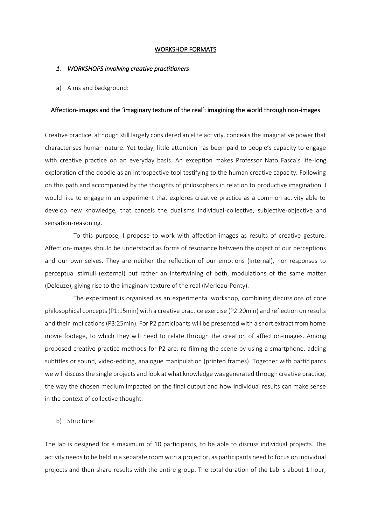#### WORKSHOP FORMATS

#### *1. WORKSHOPS involving creative practitioners*

a) Aims and background:

#### Affection-images and the 'imaginary texture of the real': imagining the world through non-images

Creative practice, although still largely considered an elite activity, conceals the imaginative power that characterises human nature. Yet today, little attention has been paid to people's capacity to engage with creative practice on an everyday basis. An exception makes Professor Nato Fasca's life-long exploration of the doodle as an introspective tool testifying to the human creative capacity. Following on this path and accompanied by the thoughts of philosophers in relation to productive imagination, I would like to engage in an experiment that explores creative practice as a common activity able to develop new knowledge, that cancels the dualisms individual-collective, subjective-objective and sensation-reasoning.

To this purpose, I propose to work with affection-images as results of creative gesture. Affection-images should be understood as forms of resonance between the object of our perceptions and our own selves. They are neither the reflection of our emotions (internal), nor responses to perceptual stimuli (external) but rather an intertwining of both, modulations of the same matter (Deleuze), giving rise to the imaginary texture of the real (Merleau-Ponty).

The experiment is organised as an experimental workshop, combining discussions of core philosophical concepts (P1:15min) with a creative practice exercise (P2:20min) and reflection on results and their implications (P3:25min). For P2 participants will be presented with a short extract from home movie footage, to which they will need to relate through the creation of affection-images. Among proposed creative practice methods for P2 are: re-filming the scene by using a smartphone, adding subtitles or sound, video-editing, analogue manipulation (printed frames). Together with participants we will discuss the single projects and look at what knowledge was generated through creative practice, the way the chosen medium impacted on the final output and how individual results can make sense in the context of collective thought.

#### b) Structure:

The lab is designed for a maximum of 10 participants, to be able to discuss individual projects. The activity needs to be held in a separate room with a projector, as participants need to focus on individual projects and then share results with the entire group. The total duration of the Lab is about 1 hour,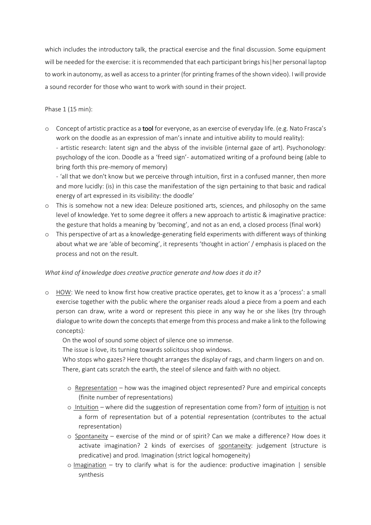which includes the introductory talk, the practical exercise and the final discussion. Some equipment will be needed for the exercise: it is recommended that each participant brings his|her personal laptop to work in autonomy, as well as access to a printer (for printing frames of the shown video). I will provide a sound recorder for those who want to work with sound in their project.

# Phase 1 (15 min):

o Concept of artistic practice as a tool for everyone, as an exercise of everyday life. (e.g. Nato Frasca's work on the doodle as an expression of man's innate and intuitive ability to mould reality): - artistic research: latent sign and the abyss of the invisible (internal gaze of art). Psychonology:

psychology of the icon. Doodle as a 'freed sign'- automatized writing of a profound being (able to bring forth this pre-memory of memory)

- 'all that we don't know but we perceive through intuition, first in a confused manner, then more and more lucidly: (is) in this case the manifestation of the sign pertaining to that basic and radical energy of art expressed in its visibility: the doodle'

- o This is somehow not a new idea: Deleuze positioned arts, sciences, and philosophy on the same level of knowledge. Yet to some degree it offers a new approach to artistic & imaginative practice: the gesture that holds a meaning by 'becoming', and not as an end, a closed process (final work)
- o This perspective of art as a knowledge-generating field experiments with different ways of thinking about what we are 'able of becoming', it represents 'thought in action' / emphasis is placed on the process and not on the result.

# *What kind of knowledge does creative practice generate and how does it do it?*

o HOW: We need to know first how creative practice operates, get to know it as a 'process': a small exercise together with the public where the organiser reads aloud a piece from a poem and each person can draw, write a word or represent this piece in any way he or she likes (try through dialogue to write down the concepts that emerge from this process and make a link to the following concepts)*:*

On the wool of sound some object of silence one so immense.

The issue is love, its turning towards solicitous shop windows.

Who stops who gazes? Here thought arranges the display of rags, and charm lingers on and on. There, giant cats scratch the earth, the steel of silence and faith with no object.

- o Representation how was the imagined object represented? Pure and empirical concepts (finite number of representations)
- o Intuition *–* where did the suggestion of representation come from? form of intuition is not a form of representation but of a potential representation (contributes to the actual representation)
- o Spontaneity exercise of the mind or of spirit? Can we make a difference? How does it activate imagination? 2 kinds of exercises of spontaneity: judgement (structure is predicative) and prod. Imagination (strict logical homogeneity)
- $\circ$  Imagination try to clarify what is for the audience: productive imagination | sensible synthesis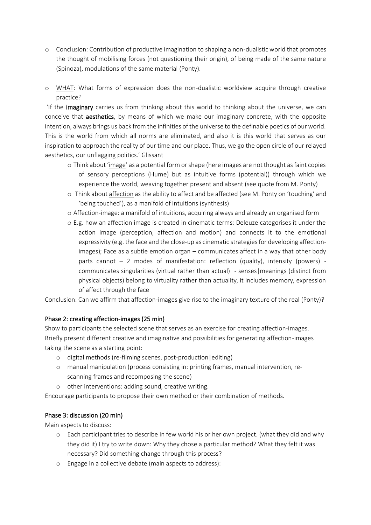- o Conclusion*:* Contribution of productive imagination to shaping a non-dualistic world that promotes the thought of mobilising forces (not questioning their origin), of being made of the same nature (Spinoza), modulations of the same material (Ponty).
- o WHAT: What forms of expression does the non-dualistic worldview acquire through creative practice?

'If the imaginary carries us from thinking about this world to thinking about the universe, we can conceive that aesthetics, by means of which we make our imaginary concrete, with the opposite intention, always brings us back from the infinities of the universe to the definable poetics of our world. This is the world from which aIl norms are eliminated, and also it is this world that serves as our inspiration to approach the reality of our time and our place. Thus, we go the open circle of our relayed aesthetics, our unflagging politics.' Glissant

- o Think about 'image' as a potential form or shape (here images are not thought as faint copies of sensory perceptions (Hume) but as intuitive forms (potential)) through which we experience the world, weaving together present and absent (see quote from M. Ponty)
- o Think about affection as the ability to affect and be affected (see M. Ponty on 'touching' and 'being touched'), as a manifold of intuitions (synthesis)
- o Affection-image: a manifold of intuitions, acquiring always and already an organised form
- o E.g. how an affection image is created in cinematic terms: Deleuze categorises it under the action image (perception, affection and motion) and connects it to the emotional expressivity (e.g. the face and the close-up as cinematic strategies for developing affectionimages); Face as a subtle emotion organ – communicates affect in a way that other body parts cannot – 2 modes of manifestation: reflection (quality), intensity (powers) communicates singularities (virtual rather than actual) - senses|meanings (distinct from physical objects) belong to virtuality rather than actuality, it includes memory, expression of affect through the face

Conclusion: Can we affirm that affection-images give rise to the imaginary texture of the real (Ponty)?

# Phase 2: creating affection-images (25 min)

Show to participants the selected scene that serves as an exercise for creating affection-images. Briefly present different creative and imaginative and possibilities for generating affection-images taking the scene as a starting point:

- o digital methods (re-filming scenes, post-production|editing)
- o manual manipulation (process consisting in: printing frames, manual intervention, rescanning frames and recomposing the scene)
- o other interventions: adding sound, creative writing.

Encourage participants to propose their own method or their combination of methods.

# Phase 3: discussion (20 min)

Main aspects to discuss:

- o Each participant tries to describe in few world his or her own project. (what they did and why they did it) I try to write down: Why they chose a particular method? What they felt it was necessary? Did something change through this process?
- o Engage in a collective debate (main aspects to address):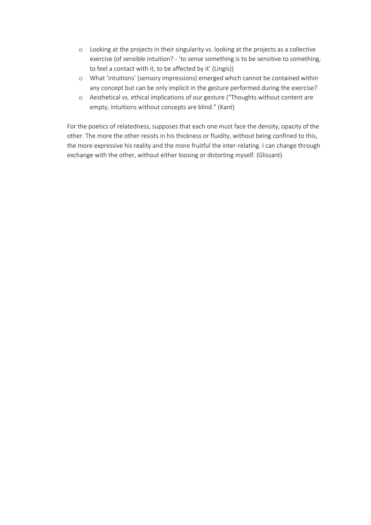- o Looking at the projects in their singularity vs. looking at the projects as a collective exercise (of sensible intuition? - 'to sense something is to be sensitive to something, to feel a contact with it, to be affected by it' (Lingis))
- o What 'intuitions' (sensory impressions) emerged which cannot be contained within any concept but can be only implicit in the gesture performed during the exercise?
- o Aesthetical vs. ethical implications of our gesture ("Thoughts without content are empty, intuitions without concepts are blind." (Kant)

For the poetics of relatedness, supposes that each one must face the density, opacity of the other. The more the other resists in his thickness or fluidity, without being confined to this, the more expressive his reality and the more fruitful the inter-relating. I can change through exchange with the other, without either loosing or distorting myself. (Glissant)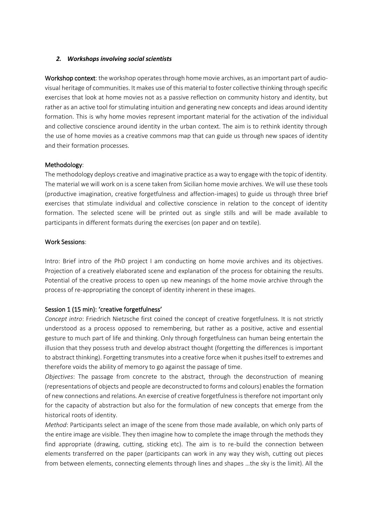### *2. Workshops involving social scientists*

Workshop context: the workshop operates through home movie archives, as an important part of audiovisual heritage of communities. It makes use of this material to foster collective thinking through specific exercises that look at home movies not as a passive reflection on community history and identity, but rather as an active tool for stimulating intuition and generating new concepts and ideas around identity formation. This is why home movies represent important material for the activation of the individual and collective conscience around identity in the urban context. The aim is to rethink identity through the use of home movies as a creative commons map that can guide us through new spaces of identity and their formation processes.

### Methodology:

The methodology deploys creative and imaginative practice as a way to engage with the topic of identity. The material we will work on is a scene taken from Sicilian home movie archives. We will use these tools (productive imagination, creative forgetfulness and affection-images) to guide us through three brief exercises that stimulate individual and collective conscience in relation to the concept of identity formation. The selected scene will be printed out as single stills and will be made available to participants in different formats during the exercises (on paper and on textile).

### Work Sessions:

Intro: Brief intro of the PhD project I am conducting on home movie archives and its objectives. Projection of a creatively elaborated scene and explanation of the process for obtaining the results. Potential of the creative process to open up new meanings of the home movie archive through the process of re-appropriating the concept of identity inherent in these images.

# Session 1 (15 min): 'creative forgetfulness'

*Concept intro*: Friedrich Nietzsche first coined the concept of creative forgetfulness. It is not strictly understood as a process opposed to remembering, but rather as a positive, active and essential gesture to much part of life and thinking. Only through forgetfulness can human being entertain the illusion that they possess truth and develop abstract thought (forgetting the differences is important to abstract thinking). Forgetting transmutes into a creative force when it pushes itself to extremes and therefore voids the ability of memory to go against the passage of time.

*Objectives*: The passage from concrete to the abstract, through the deconstruction of meaning (representations of objects and people are deconstructed to forms and colours) enables the formation of new connections and relations. An exercise of creative forgetfulness is therefore not important only for the capacity of abstraction but also for the formulation of new concepts that emerge from the historical roots of identity.

*Method*: Participants select an image of the scene from those made available, on which only parts of the entire image are visible. They then imagine how to complete the image through the methods they find appropriate (drawing, cutting, sticking etc). The aim is to re-build the connection between elements transferred on the paper (participants can work in any way they wish, cutting out pieces from between elements, connecting elements through lines and shapes …the sky is the limit). All the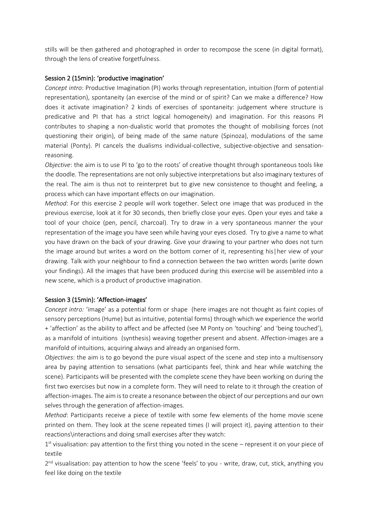stills will be then gathered and photographed in order to recompose the scene (in digital format), through the lens of creative forgetfulness.

### Session 2 (15min): 'productive imagination'

*Concept intro*: Productive Imagination (PI) works through representation, intuition (form of potential representation), spontaneity (an exercise of the mind or of spirit? Can we make a difference? How does it activate imagination? 2 kinds of exercises of spontaneity: judgement where structure is predicative and PI that has a strict logical homogeneity) and imagination. For this reasons PI contributes to shaping a non-dualistic world that promotes the thought of mobilising forces (not questioning their origin), of being made of the same nature (Spinoza), modulations of the same material (Ponty). PI cancels the dualisms individual-collective, subjective-objective and sensationreasoning.

*Objective*: the aim is to use PI to 'go to the roots' of creative thought through spontaneous tools like the doodle. The representations are not only subjective interpretations but also imaginary textures of the real. The aim is thus not to reinterpret but to give new consistence to thought and feeling, a process which can have important effects on our imagination.

*Method*: For this exercise 2 people will work together. Select one image that was produced in the previous exercise, look at it for 30 seconds, then briefly close your eyes. Open your eyes and take a tool of your choice (pen, pencil, charcoal). Try to draw in a very spontaneous manner the your representation of the image you have seen while having your eyes closed. Try to give a name to what you have drawn on the back of your drawing. Give your drawing to your partner who does not turn the image around but writes a word on the bottom corner of it, representing his|her view of your drawing. Talk with your neighbour to find a connection between the two written words (write down your findings). All the images that have been produced during this exercise will be assembled into a new scene, which is a product of productive imagination.

#### Session 3 (15min): 'Affection-images'

*Concept intro:* 'image' as a potential form or shape (here images are not thought as faint copies of sensory perceptions (Hume) but as intuitive, potential forms) through which we experience the world + 'affection' as the ability to affect and be affected (see M Ponty on 'touching' and 'being touched'), as a manifold of intuitions (synthesis) weaving together present and absent. Affection-images are a manifold of intuitions, acquiring always and already an organised form.

*Objectives*: the aim is to go beyond the pure visual aspect of the scene and step into a multisensory area by paying attention to sensations (what participants feel, think and hear while watching the scene). Participants will be presented with the complete scene they have been working on during the first two exercises but now in a complete form. They will need to relate to it through the creation of affection-images. The aim is to create a resonance between the object of our perceptions and our own selves through the generation of affection-images.

*Method*: Participants receive a piece of textile with some few elements of the home movie scene printed on them. They look at the scene repeated times (I will project it), paying attention to their reactions\interactions and doing small exercises after they watch:

1<sup>st</sup> visualisation: pay attention to the first thing you noted in the scene – represent it on your piece of textile

2<sup>nd</sup> visualisation: pay attention to how the scene 'feels' to you - write, draw, cut, stick, anything you feel like doing on the textile